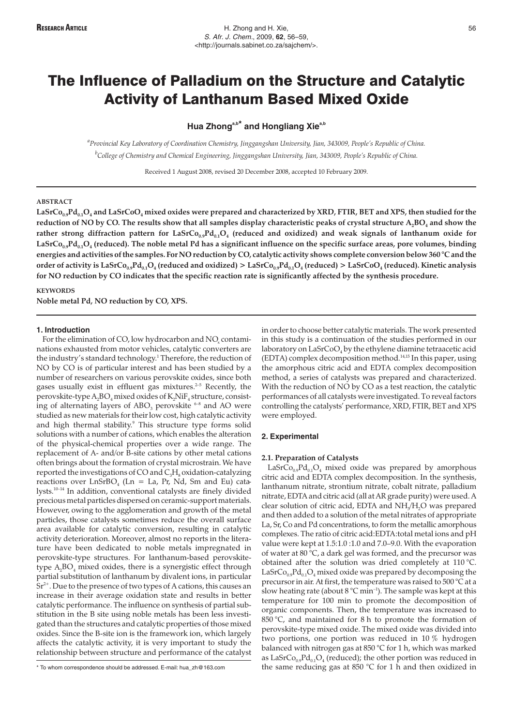**Hua Zhonga,b\* and Hongliang Xiea,b**

*a Provincial Key Laboratory of Coordination Chemistry, Jinggangshan University, Jian, 343009, People's Republic of China. b College of Chemistry and Chemical Engineering, Jinggangshan University, Jian, 343009, People's Republic of China.*

Received 1 August 2008, revised 20 December 2008, accepted 10 February 2009.

## **ABSTRACT**

LaSrCo<sub>0.9</sub>Pd<sub>0.1</sub>O<sub>4</sub> and LaSrCoO<sub>4</sub> mixed oxides were prepared and characterized by XRD, FTIR, BET and XPS, then studied for the reduction of NO by CO. The results show that all samples display characteristic peaks of crystal structure A<sub>2</sub>BO<sub>4</sub> and show the rather strong diffraction pattern for LaSrCo<sub>0.9</sub>Pd<sub>0.1</sub>O<sub>4</sub> (reduced and oxidized) and weak signals of lanthanum oxide for  $\text{LaSrCo}_{0.9}\text{Pd}_{0.1}\text{O}_4$  (reduced). The noble metal Pd has a significant influence on the specific surface areas, pore volumes, binding **energies and activities of the samples. For NO reduction by CO, catalytic activity shows complete conversion below 360 °C and the** order of activity is LaSrCo<sub>0.9</sub>Pd<sub>0.1</sub>O<sub>4</sub> (reduced and oxidized) > LaSrCo<sub>0.9</sub>Pd<sub>0.1</sub>O<sub>4</sub> (reduced) > LaSrCoO<sub>4</sub> (reduced). Kinetic analysis **for NO reduction by CO indicates that the specific reaction rate is significantly affected by the synthesis procedure.**

**Noble metal Pd, NO reduction by CO, XPS.**

#### **1. Introduction**

**KEYWORDS**

For the elimination of CO, low hydrocarbon and NO<sub>x</sub> contaminations exhausted from motor vehicles, catalytic converters are the industry's standard technology.<sup>1</sup> Therefore, the reduction of NO by CO is of particular interest and has been studied by a number of researchers on various perovskite oxides, since both gases usually exist in effluent gas mixtures. $2-5$  Recently, the perovskite-type  $A_2BO_4$  mixed oxides of  $K_2N$ i $F_4$  structure, consisting of alternating layers of  $ABO<sub>3</sub>$  perovskite  $6-8$  and AO were studied as new materials for their low cost, high catalytic activity and high thermal stability.<sup>9</sup> This structure type forms solid solutions with a number of cations, which enables the alteration of the physical-chemical properties over a wide range. The replacement of A- and/or B-site cations by other metal cations often brings about the formation of crystal microstrain. We have reported the investigations of CO and  $C_3H_8$  oxidation-catalyzing reactions over  $LnSrBO<sub>4</sub>$  (Ln = La, Pr, Nd, Sm and Eu) catalysts.<sup>10-14</sup> In addition, conventional catalysts are finely divided precious metal particles dispersed on ceramic-support materials. However, owing to the agglomeration and growth of the metal particles, those catalysts sometimes reduce the overall surface area available for catalytic conversion, resulting in catalytic activity deterioration. Moreover, almost no reports in the literature have been dedicated to noble metals impregnated in perovskite-type structures. For lanthanum-based perovskitetype  $A_2BO_4$  mixed oxides, there is a synergistic effect through partial substitution of lanthanum by divalent ions, in particular  $Sr<sup>2+</sup>$ . Due to the presence of two types of A cations, this causes an increase in their average oxidation state and results in better catalytic performance. The influence on synthesis of partial substitution in the B site using noble metals has been less investigated than the structures and catalytic properties of those mixed oxides. Since the B-site ion is the framework ion, which largely affects the catalytic activity, it is very important to study the relationship between structure and performance of the catalyst

\* To whom correspondence should be addressed. E-mail: hua\_zh@163.com

in order to choose better catalytic materials. The work presented in this study is a continuation of the studies performed in our laboratory on  $\text{LaSrCoO}_4$  by the ethylene diamine tetraacetic acid (EDTA) complex decomposition method.14,15 In this paper, using the amorphous citric acid and EDTA complex decomposition method, a series of catalysts was prepared and characterized. With the reduction of NO by CO as a test reaction, the catalytic performances of all catalysts were investigated. To reveal factors controlling the catalysts' performance, XRD, FTIR, BET and XPS were employed.

# **2. Experimental**

# **2.1. Preparation of Catalysts**

 $LaSrCo<sub>0.9</sub>Pd<sub>0.1</sub>O<sub>4</sub>$  mixed oxide was prepared by amorphous citric acid and EDTA complex decomposition. In the synthesis, lanthanum nitrate, strontium nitrate, cobalt nitrate, palladium nitrate, EDTA and citric acid (all at AR grade purity) were used. A clear solution of citric acid, EDTA and NH<sub>2</sub>H<sub>2</sub>O was prepared and then added to a solution of the metal nitrates of appropriate La, Sr, Co and Pd concentrations, to form the metallic amorphous complexes. The ratio of citric acid:EDTA:total metal ions and pH value were kept at 1.5:1.0 :1.0 and 7.0–9.0. With the evaporation of water at 80 °C, a dark gel was formed, and the precursor was obtained after the solution was dried completely at 110 °C. LaSrCo<sub>0.9</sub>Pd<sub>0.1</sub>O<sub>4</sub> mixed oxide was prepared by decomposing the precursor in air. At first, the temperature was raised to 500 °C at a slow heating rate (about  $8^{\circ}$ C min<sup>-1</sup>). The sample was kept at this temperature for 100 min to promote the decomposition of organic components. Then, the temperature was increased to 850 °C, and maintained for 8 h to promote the formation of perovskite-type mixed oxide. The mixed oxide was divided into two portions, one portion was reduced in 10 % hydrogen balanced with nitrogen gas at 850 °C for 1 h, which was marked as LaSr $Co_{0.9}Pd_{0.1}O_4$  (reduced); the other portion was reduced in the same reducing gas at 850  $\degree$ C for 1 h and then oxidized in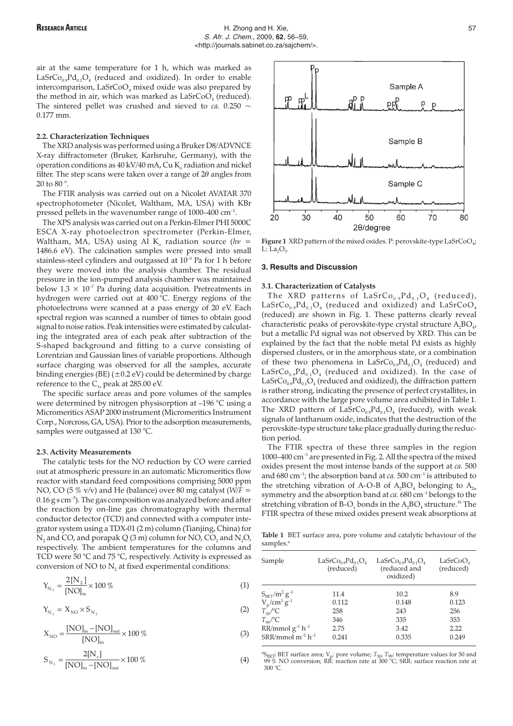air at the same temperature for 1 h, which was marked as  $LaSrCo<sub>0.9</sub>Pd<sub>0.1</sub>O<sub>4</sub>$  (reduced and oxidized). In order to enable intercomparison,  $LaSrCoO<sub>4</sub>$  mixed oxide was also prepared by the method in air, which was marked as  $LaSrCoO<sub>4</sub>$  (reduced). The sintered pellet was crushed and sieved to  $ca$ . 0.250  $\sim$ 0.177 mm.

## **2.2. Characterization Techniques**

The XRD analysis was performed using a Bruker D8/ADVNCE X-ray diffractometer (Bruker, Karlsruhe, Germany), with the operation conditions as  $40 \text{ kV}/40 \text{ mA}$ , Cu K<sub>a</sub> radiation and nickel filter. The step scans were taken over a range of  $2\theta$  angles from 20 to 80 °.

The FTIR analysis was carried out on a Nicolet AVATAR 370 spectrophotometer (Nicolet, Waltham, MA, USA) with KBr pressed pellets in the wavenumber range of 1000–400 cm–1.

The XPS analysis was carried out on a Perkin-Elmer PHI 5000C ESCA X-ray photoelectron spectrometer (Perkin-Elmer, Waltham, MA, USA) using Al K<sub>a</sub> radiation source ( $hv =$ 1486.6 eV). The calcination samples were pressed into small stainless-steel cylinders and outgassed at 10–5 Pa for 1 h before they were moved into the analysis chamber. The residual pressure in the ion-pumped analysis chamber was maintained below  $1.3 \times 10^{-7}$  Pa during data acquisition. Pretreatments in hydrogen were carried out at 400 °C. Energy regions of the photoelectrons were scanned at a pass energy of 20 eV. Each spectral region was scanned a number of times to obtain good signal to noise ratios. Peak intensities were estimated by calculating the integrated area of each peak after subtraction of the S-shaped background and fitting to a curve consisting of Lorentzian and Gaussian lines of variable proportions. Although surface charging was observed for all the samples, accurate binding energies (BE)  $(\pm 0.2 \text{ eV})$  could be determined by charge reference to the  $C_{1s}$  peak at 285.00 eV.

The specific surface areas and pore volumes of the samples were determined by nitrogen physisorption at –196 °C using a Micromeritics ASAP 2000 instrument (Micromeritics Instrument Corp., Norcross, GA, USA). Prior to the adsorption measurements, samples were outgassed at 130 °C.

#### **2.3. Activity Measurements**

The catalytic tests for the NO reduction by CO were carried out at atmospheric pressure in an automatic Micromeritics flow reactor with standard feed compositions comprising 5000 ppm NO, CO (5 % v/v) and He (balance) over 80 mg catalyst (*W/F* =  $0.16$  g s cm<sup>-3</sup>). The gas composition was analyzed before and after the reaction by on-line gas chromatography with thermal conductor detector (TCD) and connected with a computer integrator system using a TDX-01 (2 m) column (Tianjing, China) for  $N_2$  and CO, and porapak Q (3 m) column for NO, CO<sub>2</sub> and N<sub>2</sub>O, respectively. The ambient temperatures for the columns and TCD were 50 °C and 75 °C, respectively. Activity is expressed as conversion of  $NO$  to  $N<sub>2</sub>$  at fixed experimental conditions:

$$
Y_{N_2} = \frac{2[N_2]}{[NO]_{in}} \times 100\,\%
$$
\n(1)

$$
Y_{N_2} = X_{N0} \times S_{N_2} \tag{2}
$$

$$
X_{\rm NO} = \frac{\rm [NO]_{in} - [NO]_{out}}{\rm [NO]_{in}} \times 100\,\%
$$
\n(3)

$$
S_{N_2} = \frac{2[N_s]}{[NO]_{in} - [NO]_{out}} \times 100\% \tag{4}
$$



**Figure 1** XRD pattern of the mixed oxides. P: perovskite-type  $\text{LaSrCoO}_{4}$ ;  $L: La<sub>2</sub>O<sub>3</sub>$ .

## **3. Results and Discussion**

## **3.1. Characterization of Catalysts**

The XRD patterns of  $\text{LaSrCo}_{0.9}\text{Pd}_{0.1}\text{O}_4$  (reduced),  $LaSrCo<sub>0.9</sub>Pd<sub>0.1</sub>O<sub>4</sub>$  (reduced and oxidized) and  $LaSrCoO<sub>4</sub>$ (reduced) are shown in Fig. 1. These patterns clearly reveal characteristic peaks of perovskite-type crystal structure  $A_2BO_{4}$ , but a metallic Pd signal was not observed by XRD. This can be explained by the fact that the noble metal Pd exists as highly dispersed clusters, or in the amorphous state, or a combination of these two phenomena in  $LaSrCo<sub>0.9</sub>Pd<sub>0.1</sub>O<sub>4</sub>$  (reduced) and LaSrCo<sub>0.9</sub>Pd<sub>0.1</sub>O<sub>4</sub> (reduced and oxidized). In the case of LaSrCo<sub>09</sub>Pd<sub>01</sub>O<sub>4</sub> (reduced and oxidized), the diffraction pattern is rather strong, indicating the presence of perfect crystallites, in accordance with the large pore volume area exhibited in Table 1. The XRD pattern of  $\text{LaSrCo}_{0.9}\text{Pd}_{0.1}\text{O}_4$  (reduced), with weak signals of lanthanum oxide, indicates that the destruction of the perovskite-type structure take place gradually during the reduction period.

The FTIR spectra of these three samples in the region 1000–400 cm–1 are presented in Fig. 2. All the spectra of the mixed oxides present the most intense bands of the support at *ca.* 500 and  $680 \text{ cm}^{-1}$ ; the absorption band at *ca*.  $500 \text{ cm}^{-1}$  is attributed to the stretching vibration of A-O-B of  $A_2BO_4$  belonging to  $A_{2u}$ symmetry and the absorption band at *ca.* 680 cm–1 belongs to the stretching vibration of B-O<sub>x</sub> bonds in the  $A_2BO_4$  structure.<sup>16</sup> The FTIR spectra of these mixed oxides present weak absorptions at

**Table 1** BET surface area, pore volume and catalytic behaviour of the samples.<sup>a</sup>

| Sample                 | $LaSrCo0.9Pd0.1O4$<br>(reduced) | $LaSrCo0.9Pd0.1O4$<br>(reduced and<br>oxidized) | LaSrCoO <sub>4</sub><br>(reduced) |
|------------------------|---------------------------------|-------------------------------------------------|-----------------------------------|
| $S_{BET}/m^2 g^{-1}$   | 11.4                            | 10.2                                            | 8.9                               |
| $V_p/cm^3 g^{-1}$      | 0.112                           | 0.148                                           | 0.123                             |
| $T_{50}^{\hat{}}$ /°C  | 258                             | 243                                             | 256                               |
| $T_{\rm oo}/^{\circ}C$ | 346                             | 335                                             | 353                               |
| $RR/mmol g-1 h-1$      | 2.75                            | 3.42                                            | 2.22                              |
| $SRR/mmol m-2 h-1$     | 0.241                           | 0.335                                           | 0.249                             |

 ${}^{a}S_{BET}$ : BET surface area;  $V_p$ : pore volume;  $T_{50}$ ,  $T_{99}$ : temperature values for 50 and 99 % NO conversion; RR: reaction rate at 300 °C; SRR: surface reaction rate at 300 °C.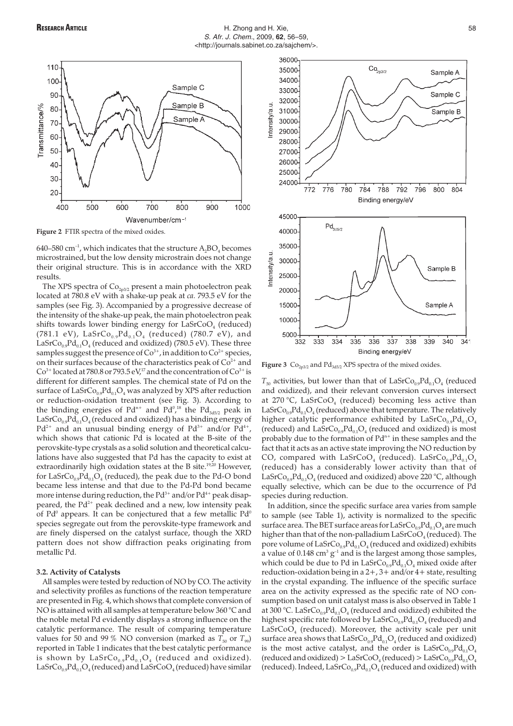

**Figure 2** FTIR spectra of the mixed oxides.

640–580 cm<sup>-1</sup>, which indicates that the structure  $A_2BO_4$  becomes microstrained, but the low density microstrain does not change their original structure. This is in accordance with the XRD results.

The XPS spectra of  $Co<sub>2p3/2</sub>$  present a main photoelectron peak located at 780.8 eV with a shake-up peak at *ca.* 793.5 eV for the samples (see Fig. 3). Accompanied by a progressive decrease of the intensity of the shake-up peak, the main photoelectron peak shifts towards lower binding energy for  $\text{LaSrCoO}_4$  (reduced) (781.1 eV),  $LaSrCo_{0.9}Pd_{0.1}O_4$  (reduced) (780.7 eV), and LaSrCo<sub>0.9</sub>Pd<sub>0.1</sub>O<sub>4</sub> (reduced and oxidized) (780.5 eV). These three samples suggest the presence of  $\text{Co}^{3+}$ , in addition to  $\text{Co}^{2+}$  species, on their surfaces because of the characteristics peak of  $Co<sup>2+</sup>$  and  $Co<sup>3+</sup> located at 780.8 or 793.5 eV<sub>1</sub><sup>17</sup> and the concentration of  $Co<sup>3+</sup>$  is$ different for different samples. The chemical state of Pd on the surface of  $\text{LaSrCo}_{0.9}\text{Pd}_{0.1}\text{O}_4$  was analyzed by XPS after reduction or reduction-oxidation treatment (see Fig. 3). According to the binding energies of  $Pd^{n+}$  and  $Pd^{0,18}$  the  $Pd_{3d5/2}$  peak in  $LaSrCo<sub>0.9</sub>Pd<sub>0.1</sub>O<sub>4</sub>$  (reduced and oxidized) has a binding energy of  $Pd^{2+}$  and an unusual binding energy of  $Pd^{3+}$  and/or  $Pd^{4+}$ , which shows that cationic Pd is located at the B-site of the perovskite-type crystals as a solid solution and theoretical calculations have also suggested that Pd has the capacity to exist at extraordinarily high oxidation states at the B site.<sup>19,20</sup> However, for LaSrCo<sub>09</sub>Pd<sub>0.1</sub>O<sub>4</sub> (reduced), the peak due to the Pd-O bond became less intense and that due to the Pd-Pd bond became more intense during reduction, the  $Pd^{3+}$  and/or  $Pd^{4+}$  peak disappeared, the  $Pd^{2+}$  peak declined and a new, low intensity peak of Pd<sup>0</sup> appears. It can be conjectured that a few metallic  $Pd^0$ species segregate out from the perovskite-type framework and are finely dispersed on the catalyst surface, though the XRD pattern does not show diffraction peaks originating from metallic Pd.

# **3.2. Activity of Catalysts**

All samples were tested by reduction of NO by CO. The activity and selectivity profiles as functions of the reaction temperature are presented in Fig. 4, which shows that complete conversion of NO is attained with all samples at temperature below 360 °C and the noble metal Pd evidently displays a strong influence on the catalytic performance. The result of comparing temperature values for 50 and 99 % NO conversion (marked as  $T_{50}$  or  $T_{99}$ ) reported in Table 1 indicates that the best catalytic performance is shown by  $\text{LaSrCo}_{0.9}\text{Pd}_{0.1}\text{O}_4$  (reduced and oxidized).  $LasrCo_{0.9}Pd_{0.1}O_4$  (reduced) and  $LasrCoO_4$  (reduced) have similar



Figure 3 Co<sub>2p3/2</sub> and Pd<sub>3d5/2</sub> XPS spectra of the mixed oxides.

 $T_{50}$  activities, but lower than that of LaSrCo<sub>0.9</sub>Pd<sub>0.1</sub>O<sub>4</sub> (reduced and oxidized), and their relevant conversion curves intersect at 270 °C, LaSrCoO<sub>4</sub> (reduced) becoming less active than LaSrCo<sub>0.9</sub>Pd<sub>0.1</sub>O<sub>4</sub> (reduced) above that temperature. The relatively higher catalytic performance exhibited by  $LaSrCo<sub>0.9</sub>Pd<sub>0.1</sub>O<sub>4</sub>$ (reduced) and  $\text{LaSrCo}_{0.9}\text{Pd}_{0.1}\text{O}_4$  (reduced and oxidized) is most probably due to the formation of  $Pd^{n+}$  in these samples and the fact that it acts as an active state improving the NO reduction by CO, compared with LaSrCoO<sub>4</sub> (reduced). LaSrCo<sub>0.9</sub>Pd<sub>0.1</sub>O<sub>4</sub> (reduced) has a considerably lower activity than that of LaSrCo<sub>0.9</sub>Pd<sub>0.1</sub>O<sub>4</sub> (reduced and oxidized) above 220 °C, although equally selective, which can be due to the occurrence of Pd species during reduction.

In addition, since the specific surface area varies from sample to sample (see Table 1), activity is normalized to the specific surface area. The BET surface areas for  $LaSrCo<sub>0.9</sub>Pd<sub>0.1</sub>O<sub>4</sub>$  are much higher than that of the non-palladium  $\text{LaSrCoO}_4$  (reduced). The pore volume of  $\text{LaSrCo}_{0.9}\text{Pd}_{0.1}\text{O}_4$  (reduced and oxidized) exhibits a value of  $0.148 \text{ cm}^3 \text{ g}^{-1}$  and is the largest among those samples, which could be due to Pd in  $\text{LaSrCo}_{0.9}\text{Pd}_{0.1}\text{O}_4$  mixed oxide after reduction-oxidation being in a  $2+$ ,  $3+$  and/or  $4+$  state, resulting in the crystal expanding. The influence of the specific surface area on the activity expressed as the specific rate of NO consumption based on unit catalyst mass is also observed in Table 1 at 300 °C. LaSrCo<sub>0.9</sub>Pd<sub>0.1</sub>O<sub>4</sub> (reduced and oxidized) exhibited the highest specific rate followed by  $\operatorname{LaSrCo}_{0.9}\!\operatorname{Pd}_{0.1}\!\operatorname{O}_4$  (reduced) and  $LaSrCoO<sub>4</sub>$  (reduced). Moreover, the activity scale per unit surface area shows that  $LaSrCo<sub>0.9</sub>Pd<sub>0.1</sub>O<sub>4</sub>$  (reduced and oxidized) is the most active catalyst, and the order is  $LaSrCo<sub>0.9</sub>Pd<sub>0.1</sub>O<sub>4</sub>$ (reduced and oxidized) > LaSrCoO<sub>4</sub> (reduced) > LaSrCo<sub>09</sub>Pd<sub>04</sub>O<sub>4</sub> (reduced). Indeed,  $\text{LaSrCo}_{0.9}\text{Pd}_{0.1}\text{O}_4$  (reduced and oxidized) with